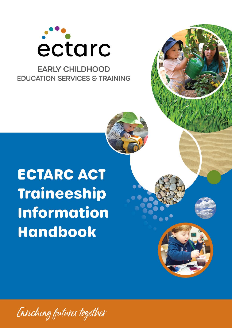

# **EARLY CHILDHOOD EDUCATION SERVICES & TRAINING**

# **ECTARC ACT Traineeship Information Handbook**

Enriching futures together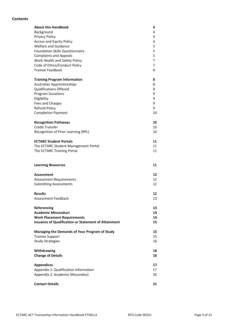#### **Contents**

| <b>About this Handbook</b><br>Background<br>Privacy Policy<br><b>Access and Equity Policy</b><br><b>Welfare and Guidance</b><br><b>Foundation Skills Questionnaire</b><br><b>Complaints and Appeals</b><br>Work Health and Safety Policy<br>Code of Ethics/Conduct Policy<br><b>Trainee Feedback</b> | 4<br>4<br>4<br>4<br>5<br>5<br>5<br>$\overline{7}$<br>7<br>8 |
|------------------------------------------------------------------------------------------------------------------------------------------------------------------------------------------------------------------------------------------------------------------------------------------------------|-------------------------------------------------------------|
| <b>Training Program Information</b><br><b>Australian Apprenticeships</b><br><b>Qualifications Offered</b><br><b>Program Durations</b><br>Eligibility<br>Fees and Charges<br><b>Refund Policy</b><br><b>Completion Payment</b>                                                                        | 8<br>8<br>8<br>9<br>9<br>9<br>9<br>10                       |
| <b>Recognition Pathways</b>                                                                                                                                                                                                                                                                          | 10                                                          |
| <b>Credit Transfer</b>                                                                                                                                                                                                                                                                               | 10                                                          |
| Recognition of Prior Learning (RPL)                                                                                                                                                                                                                                                                  | 10                                                          |
| <b>ECTARC Student Portals</b><br>The ECTARC Student Management Portal<br>The ECTARC Training Portal                                                                                                                                                                                                  | 11<br>11<br>11                                              |
| <b>Learning Resources</b>                                                                                                                                                                                                                                                                            | 11                                                          |
| <b>Assessment</b>                                                                                                                                                                                                                                                                                    | 12                                                          |
| <b>Assessment Requirements</b>                                                                                                                                                                                                                                                                       | 12                                                          |
| <b>Submitting Assessments</b>                                                                                                                                                                                                                                                                        | 12                                                          |
|                                                                                                                                                                                                                                                                                                      |                                                             |
| <b>Results</b><br><b>Assessment Feedback</b>                                                                                                                                                                                                                                                         | 12<br>13                                                    |
|                                                                                                                                                                                                                                                                                                      |                                                             |
| Referencing                                                                                                                                                                                                                                                                                          | 13                                                          |
| <b>Academic Misconduct</b>                                                                                                                                                                                                                                                                           | 14                                                          |
| <b>Work Placement Requirements</b>                                                                                                                                                                                                                                                                   | 14                                                          |
| <b>Issuance of Qualification or Statement of Attainment</b>                                                                                                                                                                                                                                          | 15                                                          |
| Managing the Demands of Your Program of Study                                                                                                                                                                                                                                                        | 15                                                          |
| <b>Trainee Support</b>                                                                                                                                                                                                                                                                               | 15                                                          |
| <b>Study Strategies</b>                                                                                                                                                                                                                                                                              | 16                                                          |
| Withdrawing<br><b>Change of Details</b>                                                                                                                                                                                                                                                              | 16<br>16                                                    |
| <b>Appendices</b>                                                                                                                                                                                                                                                                                    | 17                                                          |
| Appendix 1: Qualification Information                                                                                                                                                                                                                                                                | 17                                                          |
| Appendix 2: Academic Misconduct                                                                                                                                                                                                                                                                      | 20                                                          |
|                                                                                                                                                                                                                                                                                                      |                                                             |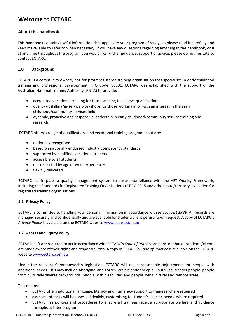## **Welcome to ECTARC**

#### **About this handbook**

This handbook contains useful information that applies to your program of study, so please read it carefully and keep it available to refer to when necessary. If you have any questions regarding anything in the handbook, or if at any time throughout the program you would like further guidance, support or advice, please do not hesitate to contact ECTARC.

#### **1.0 Background**

ECTARC is a community owned, not-for-profit registered training organisation that specialises in early childhood training and professional development. RTO Code: 90331. ECTARC was established with the support of the Australian National Training Authority (ANTA) to provide:

- accredited vocational training for those wishing to achieve qualifications
- quality upskilling/in-service workshops for those working in or with an interest in the early childhood/community services field
- dynamic, proactive and responsive leadership in early childhood/community service training and research.

ECTARC offers a range of qualifications and vocational training programs that are:

- nationally recognised
- based on nationally endorsed industry competency standards
- supported by qualified, vocational trainers
- accessible to all students
- not restricted by age or work experiences
- flexibly delivered.

ECTARC has in place a quality management system to ensure compliance with the VET Quality Framework, including the Standards for Registered Training Organisations (RTOs) 2015 and other state/territory legislation for registered training organisations.

#### **1.1 Privacy Policy**

ECTARC is committed to handling your personal information in accordance with *Privacy Act 1988.* All records are managed securely and confidentially and are available for student/client perusal upon request. A copy of ECTARC's *Privacy Policy* is available on the ECTARC website [www.ectarc.com.au](http://www.ectarc.com.au/)

#### **1.2 Access and Equity Policy**

ECTARC staff are required to act in accordance with ECTARC's *Code of Practice* and ensure that all students/clients are made aware of their rights and responsibilities. A copy of ECTARC's *Code of Practice* is available on the ECTARC website [www.ectarc.com.au](http://www.ectarc.com.au/)

Under the relevant Commonwealth legislation, ECTARC will make reasonable adjustments for people with additional needs. This may include Aboriginal and Torres Strait Islander people, South Sea Islander people, people from culturally diverse backgrounds, people with disabilities and people living in rural and remote areas.

This means:

- ECTARC offers additional language, literacy and numeracy support to trainees where required
- assessment tasks will be assessed flexibly, customising to student's specific needs, where required
- ECTARC has policies and procedures to ensure all trainees receive appropriate welfare and guidance throughout their program.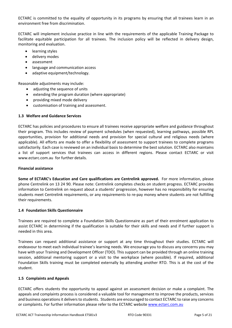ECTARC is committed to the equality of opportunity in its programs by ensuring that all trainees learn in an environment free from discrimination.

ECTARC will implement inclusive practice in line with the requirements of the applicable Training Package to facilitate equitable participation for all trainees. The inclusion policy will be reflected in delivery design, monitoring and evaluation.

- learning styles
- delivery modes
- assessment
- language and communication access
- adaptive equipment/technology.

Reasonable adjustments may include:

- adjusting the sequence of units
- extending the program duration (where appropriate)
- providing mixed mode delivery
- customisation of training and assessment.

#### **1.3 Welfare and Guidance Services**

ECTARC has policies and procedures to ensure all trainees receive appropriate welfare and guidance throughout their program. This includes review of payment schedules (when requested), learning pathways, possible RPL opportunities, provision for additional needs and provision for special cultural and religious needs (where applicable). All efforts are made to offer a flexibility of assessment to support trainees to complete programs satisfactorily. Each case is reviewed on an individual basis to determine the best solution. ECTARC also maintains a list of support services that trainees can access in different regions. Please contact ECTARC or visit www.ectarc.com.au for further details.

#### **Financial assistance**

**Some of ECTARC's Education and Care qualifications are Centrelink approved.** For more information, please phone Centrelink on 13 24 90. Please note: Centrelink completes checks on student progress. ECTARC provides information to Centrelink on request about a students' progression, however has no responsibility for ensuring students meet Centrelink requirements, or any requirements to re-pay money where students are not fulfilling their requirements.

#### **1.4 Foundation Skills Questionnaire**

Trainees are required to complete a Foundation Skills Questionnaire as part of their enrolment application to assist ECTARC in determining if the qualification is suitable for their skills and needs and if further support is needed in this area.

Trainees can request additional assistance or support at any time throughout their studies. ECTARC will endeavour to meet each individual trainee's learning needs. We encourage you to discuss any concerns you may have with your Training and Development Officer (TDO). This support can be provided through an online training session, additional mentoring support or a visit to the workplace (where possible). If required, additional Foundation Skills training must be completed externally by attending another RTO. This is at the cost of the student.

#### **1.5 Complaints and Appeals**

ECTARC offers students the opportunity to appeal against an assessment decision or make a complaint. The appeals and complaints process is considered a valuable tool for management to improve the products, services and business operations it delivers to students. Students are encouraged to contact ECTARC to raise any concerns or complaints. For further information please refer to the ECTARC website [www.ectarc.com.au](http://www.ectarc.com.au/)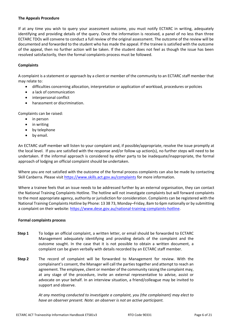#### **The Appeals Procedure**

If at any time you wish to query your assessment outcome, you must notify ECTARC in writing, adequately identifying and providing details of the query. Once the information is received, a panel of no less than three ECTARC TDOs will convene to conduct a full review of the original assessment. The outcome of the review will be documented and forwarded to the student who has made the appeal. If the trainee is satisfied with the outcome of the appeal, then no further action will be taken. If the student does not feel as though the issue has been resolved satisfactorily, then the formal complaints process must be followed.

#### **Complaints**

A complaint is a statement or approach by a client or member of the community to an ECTARC staff member that may relate to:

- difficulties concerning allocation, interpretation or application of workload, procedures orpolicies
- a lack of communication
- interpersonal conflict
- harassment or discrimination.

Complaints can be raised:

- in person
- in writing
- by telephone
- by email.

An ECTARC staff member will listen to your complaint and, if possible/appropriate, resolve the issue promptly at the local level. If you are satisfied with the response and/or follow up action(s), no further steps will need to be undertaken. If the informal approach is considered by either party to be inadequate/inappropriate, the formal approach of lodging an official complaint should be undertaken.

Where you are not satisfied with the outcome of the formal process complaints can also be made by contacting Skill Canberra. Please visit<https://www.skills.act.gov.au/complaints> for more information.

Where a trainee feels that an issue needs to be addressed further by an external organisation, they can contact the National Training Complaints Hotline. The hotline will not investigate complaints but will forward complaints to the most appropriate agency, authority or jurisdiction for consideration. Complaints can be registered with the National Training Complaints Hotline by Phone: 13 38 73, Monday–Friday, 8am to 6pm nationally or by submitting a complaint on their website: [https://www.dese.gov.au/national-training-complaints-hotline.](https://www.dese.gov.au/national-training-complaints-hotline)

#### **Formal complaints process**

- **Step 1** To lodge an official complaint, a written letter, or email should be forwarded to ECTARC Management adequately identifying and providing details of the complaint and the outcome sought. In the case that it is not possible to obtain a written document, a complaint can be given verbally with details recorded by an ECTARC staff member.
- **Step 2** The record of complaint will be forwarded to Management for review. With the complainant's consent, the Manager will call the parties together and attempt to reach an agreement. The employee, client or member of the community raising the complaint may, at any stage of the procedure, invite an external representative to advise, assist or advocate on your behalf. In an interview situation, a friend/colleague may be invited to support and observe.

*At any meeting conducted to investigate a complaint, you (the complainant) may elect to have an observer present. Note: an observer is not an active participant.*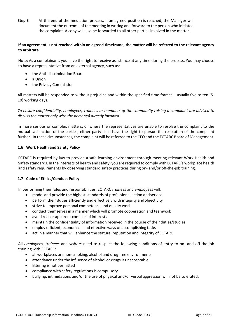**Step 3** At the end of the mediation process, if an agreed position is reached, the Manager will document the outcome of the meeting in writing and forward to the person who initiated the complaint. A copy will also be forwarded to all other parties involved in the matter.

#### **If an agreement is not reached within an agreed timeframe, the matter will be referred to the relevant agency to arbitrate.**

Note: As a complainant, you have the right to receive assistance at any time during the process. You may choose to have a representative from an external agency, such as:

- the Anti-discrimination Board
- a Union
- the Privacy Commission

All matters will be responded to without prejudice and within the specified time frames – usually five to ten (5- 10) working days.

*To ensure confidentiality, employees, trainees or members of the community raising a complaint are advised to discuss the matter only with the person(s) directly involved.*

In more serious or complex matters, or where the representatives are unable to resolve the complaint to the mutual satisfaction of the parties, either party shall have the right to pursue the resolution of the complaint further. In these circumstances, the complaint will be referred to the CEO and the ECTARC Board of Management.

#### **1.6 Work Health and Safety Policy**

ECTARC is required by law to provide a safe learning environment through meeting relevant Work Health and Safety standards. In the interests of health and safety, you are required to comply with ECTARC's workplace health and safety requirements by observing standard safety practices during on- and/or off-the-job training.

#### **1.7 Code of Ethics/Conduct Policy**

In performing their roles and responsibilities, ECTARC *trainees* and *employees* will:

- model and provide the highest standards of professional action andservice
- perform their duties efficiently and effectively with integrity andobjectivity
- strive to improve personal competence and quality work
- conduct themselves in a manner which will promote cooperation and teamwork
- avoid real or apparent conflicts of interests
- maintain the confidentiality of information received in the course of their duties/studies
- employ efficient, economical and effective ways of accomplishing tasks
- act in a manner that will enhance the stature, reputation and integrity of ECTARC

All *employees, trainees* and *visitors* need to respect the following conditions of entry to on- and off-the-job training with ECTARC:

- all workplaces are non-smoking, alcohol and drug free environments
- attendance under the influence of alcohol or drugs is unacceptable
- littering is not permitted
- compliance with safety regulations is compulsory
- bullying, intimidations and/or the use of physical and/or verbal aggression will not be tolerated.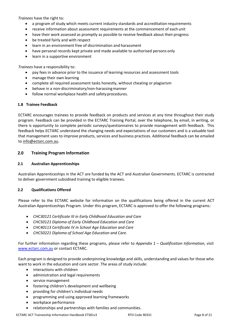*Trainees* have the right to:

- a program of study which meets current industry standards and accreditation requirements
- receive information about assessment requirements at the commencement of each unit
- have their work assessed as promptly as possible to receive feedback about their progress
- be treated fairly and with respect
- learn in an environment free of discrimination and harassment
- have personal records kept private and made available to authorised persons only
- learn in a supportive environment

*Trainees* have a responsibility to:

- pay fees in advance prior to the issuance of learning resources and assessment tools
- manage their own learning
- complete all required assessment tasks honestly, without cheating or plagiarism
- behave in a non-discriminatory/non-harassing manner
- follow normal workplace health and safetyprocedures.

#### **1.8 Trainee Feedback**

ECTARC encourages trainees to provide feedback on products and services at any time throughout their study program. Feedback can be provided in the ECTARC Training Portal, over the telephone, by email, in writing, or there is opportunity to complete periodic surveys/questionnaires to provide management with feedback. This feedback helps ECTARC understand the changing needs and expectations of our customers and is a valuable tool that management uses to improve products, services and business practices. Additional feedback can be emailed to [info@ectarc.com.au.](mailto:info@ectarc.com.au)

#### **2.0 Training Program Information**

#### **2.1 Australian Apprenticeships**

Australian Apprenticeships in the ACT are funded by the ACT and Australian Governments. ECTARC is contracted to deliver government subsidised training to eligible trainees.

#### **2.2 Qualifications Offered**

Please refer to the ECTARC website for information on the qualifications being offered in the current ACT Australian Apprenticeships Program. Under this program, ECTARC is approved to offer the following programs:

- *CHC30121 Certificate III in Early Childhood Education and Care*
- *CHC50121 Diploma of Early Childhood Education and Care*
- *CHC40113 Certificate IV in School Age Education and Care*
- *CHC50221 Diploma of School Age Education and Care.*

For further information regarding these programs, please refer to *Appendix 1 – Qualification Information,* visit [www.ectarc.com.au](http://www.ectarc.com.au/) or contact ECTARC.

Each program is designed to provide underpinning knowledge and skills, understanding and values for those who want to work in the education and care sector. The areas of study include:

- interactions with children
- administration and legal requirements
- service management
- fostering children's development and wellbeing
- providing for children's individual needs
- programming and using approved learning frameworks
- workplace performance
- relationships and partnerships with families and communities.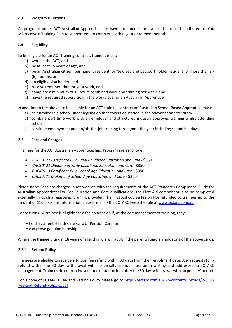#### **2.3 Program Durations**

All programs under ACT Australian Apprenticeships have enrolment time frames that must be adhered to. You will receive a Training Plan to support you to complete within your enrolment period.

#### **2.4 Eligibility**

To be eligible for an ACT training contract, trainees must:

- a) work in the ACT, and
- b) be at least 15 years of age, and
- c) be an Australian citizen, permanent resident, or New Zealand passport holder resident for more than six (6) months, or
- d) an eligible visa holder, and
- e) receive remuneration for your work, and
- f) complete a minimum of 15 hours combined work and training per week, and
- g) have the required supervision in the workplace for an Australian Apprentice.

In addition to the above, to be eligible for an ACT training contract an Australian School-Based Apprentice must:

- a) be enrolled in a school under legislation that covers education in the relevant state/territory
- b) combine part time work with an employer and structured industry-approved training whilst attending school
- c) continue employment and on/off-the-job training throughout the year including school holidays.

#### **2.5 Fees and Charges**

The Fees for the ACT Australian Apprenticeships Program are as follows:

- *CHC30121 Certificate III in Early Childhood Education and Care*  \$350
- *CHC50121 Diploma of Early Childhood Education and Care* -\$350
- *CHC40113 Certificate IV in School Age Education and Care* \$350
- *CHC50221 Diploma of School Age Education and Care*  \$350

Please note: Fees are charged in accordance with the requirements of the ACT Standards Compliance Guide for Australian Apprenticeships. For Education and Care qualifications, the First Aid component is to be completed externally through a registered training provider. The First Aid course fee will be refunded to trainees up to the amount of \$160. For full information please refer to the ECTARC Fee Schedule at [www.ectarc.com.au](http://www.ectarc.com.au/)

Concessions - A trainee is eligible for a fee concession if, at the commencement of training, they:

- hold a current Health Care Card or Pension Card, or
- can prove genuine hardship.

Where the trainee is under 18 years of age, this rule will apply if the parent/guardian holds one of the above cards.

#### **2.5.1 Refund Policy**

Trainees are eligible to receive a tuition fee refund within 30 days from their enrolment date. Any requests for a refund within the 30 day 'withdrawal with no penalty' period must be in writing and addressed to ECTARC management. Trainees do not receive a refund of tuition fees after the 30 day 'withdrawal with no penalty' period.

For a copy of ECTARC's Fee and Refund Policy please go to [https://ectarc.com.au/wp-content/uploads/P-8.37-](https://ectarc.com.au/wp-content/uploads/P-8.37-Fee-and-Refund-Policy-1.pdf) [Fee-and-Refund-Policy-1.pdf](https://ectarc.com.au/wp-content/uploads/P-8.37-Fee-and-Refund-Policy-1.pdf)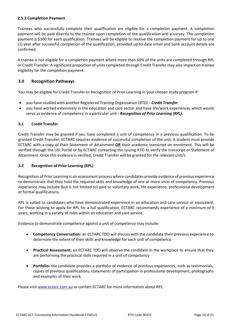#### **2.5.2 Completion Payment**

Trainees who successfully complete their qualification are eligible for a completion payment. A completion payment will be paid directly to the trainee upon completion of the qualification and a survey. The completion payment is \$300 for each qualification. Trainees will be eligible to receive the completion payment for up to one (1) year after successful completion of the qualification, provided up-to-date email and bank account details are confirmed.

A trainee is not eligible for a completion payment where more than 50% of the units are completed through RPL or Credit Transfer. A significant proportion of units completed through Credit Transfer may also impact on trainee eligibility for the completion payment.

#### **3.0 Recognition Pathways**

You may be eligible for Credit Transfer or Recognition of Prior Learning in your chosen study program if:

- you have studied with another Registered Training Organisation (RTO) *Credit Transfer*
- you have worked extensively in the education and care sector and have life/work experiences which would serve as evidence of competency in a particular unit *- Recognition of Prior Learning (RPL).*

#### **3.1 Credit Transfer**

Credit Transfer may be granted if you have completed a unit of competency in a previous qualification. To be granted Credit Transfer, ECTARC requires evidence of successful completion of the unit. A student must provide ECTARC with a copy of their Statement of Attainment **OR** their academic transcript on enrolment. This will be verified through the USI Portal or by ECTARC contacting the issuing RTO to verify the transcript or Statement of Attainment. Once this evidence is verified, Credit Transfer will be granted for the relevant unit/s.

#### **3.2 Recognition of Prior Learning (RPL)**

Recognition of Prior Learning is an assessment process where candidates provide evidence of previous experience to demonstrate that they hold the required skills and knowledge of one or more units of competency. Previous experience may include (but is not limited to) paid or voluntary work, life experience, professional development or formal qualifications.

RPL is suited to candidates who have demonstrated experience in an education and care service or equivalent. For those wishing to apply for RPL for a full qualification, ECTARC recommends experience of a minimum of 5 years, working in a variety of roles within an education and care service.

Evidence to demonstrate competence against a unit of competency may include:

- **Competency Conversation:** an ECTARC TDO will discuss with the candidate their previous experience to determine the extent of their skills and knowledge for each unit of competency.
- **Practical Assessment:** an ECTARC TDO will observe the candidate in the workplace to ensure that they are performing the practical skills required in a unit of competency.
- **Portfolio:** the candidate provides a portfolio of evidence of previous experiences, such as testimonials, copies of previous qualifications, statements of participation in professional development, photographs and examples of their work.

Please visit [www.ectarc.com.au](http://www.ectarc.com.au/) or contact ECTARC for more information about RPL.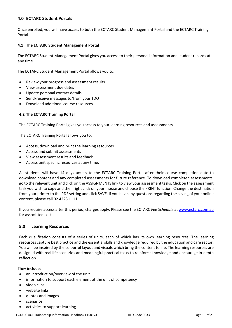#### **4.0 ECTARC Student Portals**

Once enrolled, you will have access to both the ECTARC Student Management Portal and the ECTARC Training Portal.

#### **4.1 The ECTARC Student Management Portal**

The ECTARC Student Management Portal gives you access to their personal information and student records at any time.

The ECTARC Student Management Portal allows you to:

- Review your progress and assessment results
- View assessment due dates
- Update personal contact details
- Send/receive messages to/from your TDO
- Download additional course resources.

#### **4.2 The ECTARC Training Portal**

The ECTARC Training Portal gives you access to your learning resources and assessments.

The ECTARC Training Portal allows you to:

- Access, download and print the learning resources
- Access and submit assessments
- View assessment results and feedback
- Access unit specific resources at any time.

All students will have 14 days access to the ECTARC Training Portal after their course completion date to download content and any completed assessments for future reference. To download completed assessments, go to the relevant unit and click on the ASSIGNMENTS link to view your assessment tasks. Click on the assessment task you wish to copy and then right click on your mouse and choose the PRINT function. Change the destination from your printer to the PDF setting and click SAVE. If you have any questions regarding the saving of your online content, please call 02 4223 1111.

If you require access after this period, charges apply. Please see the ECTARC *Fee Schedule* at [www.ectarc.com.au](http://www.ectarc.com.au/) for associated costs.

#### **5.0 Learning Resources**

Each qualification consists of a series of units, each of which has its own learning resources. The learning resources capture best practice and the essential skills and knowledge required by the education and care sector. You will be inspired by the colourful layout and visuals which bring the content to life. The learning resources are designed with real life scenarios and meaningful practical tasks to reinforce knowledge and encourage in-depth reflection.

They include:

- an introduction/overview of the unit
- information to support each element of the unit of competency
- video clips
- website links
- quotes and images
- scenarios
- activities to support learning.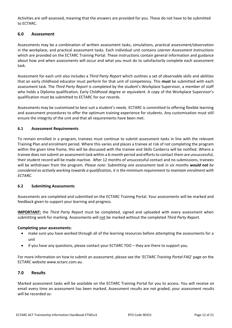Activities are self-assessed, meaning that the answers are provided for you. These do not have to be submitted to ECTARC.

#### **6.0 Assessment**

Assessments may be a combination of written assessment tasks, simulations, practical assessment/observation in the workplace, and practical assessment tasks. Each individual unit contains *Learner Assessment Instructions* which are provided on the ECTARC Training Portal. These instructions contain general information and guidance about how and when assessments will occur and what you must do to satisfactorily complete each assessment task.

Assessment for each unit also includes a *Third Party Report* which outlines a set of observable skills and abilities that an early childhood educator must perform for that unit of competency. This **must** be submitted with each assessment task. The *Third Party Report* is completed by the student's Workplace Supervisor, a member of staff who holds a Diploma qualification, Early Childhood degree or equivalent. A copy of the Workplace Supervisor's qualification must be submitted to ECTARC for our records.

Assessments may be customised to best suit a student's needs. ECTARC is committed to offering flexible learning and assessment procedures to offer the optimum training experience for students. Any customisation must still ensure the integrity of the unit and that all requirements have been met.

#### **6.1 Assessment Requirements**

To remain enrolled in a program, trainees must continue to submit assessment tasks in line with the relevant Training Plan and enrolment period. Where this varies and places a trainee at risk of not completing the program within the given time frame, this will be discussed with the trainee and Skills Canberra will be notified. Where a trainee does not submit an assessment task within a 6-month period and efforts to contact them are unsuccessful, their student record will be made inactive. After 12 months of unsuccessful contact and no submissions, trainees will be withdrawn from the program. *Please note: Submitting one assessment task in six months would not be considered as actively working towards a qualification, it is the minimum requirement to maintain enrolment with ECTARC.*

#### **6.2 Submitting Assessments**

Assessments are completed and submitted on the ECTARC Training Portal. Your assessments will be marked and feedback given to support your learning and progress.

**IMPORTANT:** the *Third Party Report* must be completed, signed and uploaded with every assessment when submitting work for marking*.* Assessments will not be marked without the completed *Third Party Report.* 

#### **Completing your assessments:**

- make sure you have worked through all of the learning resources before attempting the assessments for a unit
- if you have any questions, please contact your ECTARC TDO they are there to support you.

For more information on how to submit an assessment, please see the *'ECTARC Training Portal FAQ'* page on the ECTARC website www.ectarc.com.au.

#### **7.0 Results**

Marked assessment tasks will be available on the ECTARC Training Portal for you to access. You will receive an email every time an assessment has been marked. Assessment results are not graded, your assessment results will be recorded as: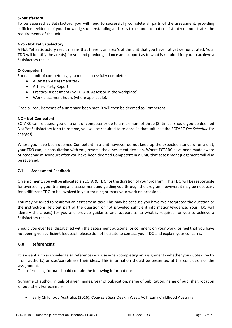#### **S- Satisfactory**

To be assessed as Satisfactory, you will need to successfully complete all parts of the assessment, providing sufficient evidence of your knowledge, understanding and skills to a standard that consistently demonstrates the requirements of the unit.

#### **NYS - Not Yet Satisfactory**

A Not Yet Satisfactory result means that there is an area/s of the unit that you have not yet demonstrated. Your TDO will identify the area(s) for you and provide guidance and support as to what is required for you to achieve a Satisfactory result.

#### **C- Competent**

For each unit of competency, you must successfully complete:

- A Written Assessment task
- A Third Party Report
- Practical Assessment (by ECTARC Assessor in the workplace)
- Work placement hours (where applicable).

Once all requirements of a unit have been met, it will then be deemed as Competent.

#### **NC – Not Competent**

ECTARC can re-assess you on a unit of competency up to a maximum of three (3) times. Should you be deemed Not Yet Satisfactory for a third time, you will be required to re-enrol in that unit (see the ECTARC *Fee Schedule* for charges).

Where you have been deemed Competent in a unit however do not keep up the expected standard for a unit, your TDO can, in consultation with you, reverse the assessment decision. Where ECTARC have been made aware of academic misconduct after you have been deemed Competent in a unit, that assessment judgement will also be reversed.

#### **7.1 Assessment Feedback**

On enrolment, you will be allocated an ECTARC TDO for the duration of your program. This TDO will be responsible for overseeing your training and assessment and guiding you through the program however, it may be necessary for a different TDO to be involved in your training or mark your work on occasions.

You may be asked to resubmit an assessment task. This may be because you have misinterpreted the question or the instructions, left out part of the question or not provided sufficient information/evidence. Your TDO will identify the area(s) for you and provide guidance and support as to what is required for you to achieve a Satisfactory result.

Should you ever feel dissatisfied with the assessment outcome, or comment on your work, or feel that you have not been given sufficient feedback, please do not hesitate to contact your TDO and explain your concerns.

#### **8.0 Referencing**

It is essential to acknowledge **all** references you use when completing an assignment - whether you quote directly from author(s) or use/paraphrase their ideas. This information should be presented at the conclusion of the assignment.

The referencing format should contain the following information:

Surname of author; initials of given names; year of publication; name of publication; name of publisher; location of publisher. For example:

• Early Childhood Australia. (2016). *Code of Ethics.*Deakin West, ACT: Early Childhood Australia.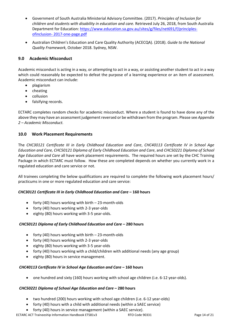- Government of South Australia Ministerial Advisory Committee. (2017). *Principles of Inclusion for children and students with disability in education and care.* Retrieved July 26, 2018, from South Australia Department for Education: [https://www.education.sa.gov.au/sites/g/files/net691/f/principles](https://www.education.sa.gov.au/sites/g/files/net691/f/principles-ofinclusion-%202017-one-page.pdf)ofinclusion- [2017-one-page.pdf](https://www.education.sa.gov.au/sites/g/files/net691/f/principles-ofinclusion-%202017-one-page.pdf)
- Australian Children's Education and Care Quality Authority (ACECQA). (2018). *Guide to the National Quality Framework,* October 2018. Sydney, NSW.

#### **9.0 Academic Misconduct**

Academic misconduct is acting in a way, or attempting to act in a way, or assisting another student to act in a way which could reasonably be expected to defeat the purpose of a learning experience or an item of assessment. Academic misconduct can include:

- plagiarism
- cheating
- collusion
- falsifying records.

ECTARC completes random checks for academic misconduct. Where a student is found to have done any of the above they may have an assessment judgement reversed or be withdrawn from the program. Please see *Appendix 2 – Academic Misconduct.* 

#### **10.0 Work Placement Requirements**

The *CHC30121 Certificate III in Early Childhood Education and Care*, *CHC40113 Certificate IV in School Age Education and Care, CHC50121 Diploma of Early Childhood Education and Care*, and *CHC50221 Diploma of School Age Education and Care* all have work placement requirements. The required hours are set by the CHC Training Package in which ECTARC must follow. How these are completed depends on whether you currently work in a regulated education and care service or not.

All trainees completing the below qualifications are required to complete the following work placement hours/ practicums in one or more regulated education and care service:

#### *CHC30121 Certificate III in Early Childhood Education and Care* **– 160 hours**

- forty (40) hours working with birth 23-month-olds
- forty (40) hours working with 2-3 year-olds
- eighty (80) hours working with 3-5 year-olds.

#### *CHC50121 Diploma of Early Childhood Education and Care* **– 280 hours**

- forty (40) hours working with birth 23-month-olds
- forty (40) hours working with 2-3 year-olds
- eighty (80) hours working with 3-5 year-olds
- forty (40) hours working with a child/children with additional needs (any age group)
- eighty (80) hours in service management.

#### *CHC40113 Certificate IV in School Age Education and Care* **– 160 hours**

• one hundred and sixty (160) hours working with school age children (i.e. 6-12 year-olds).

#### *CHC50221 Diploma of School Age Education and Care* **– 280 hours**

- two hundred (200) hours working with school age children (i.e. 6-12 year-olds)
- forty (40) hours with a child with additional needs (within a SAEC service)
- forty (40) hours in service management (within a SAEC service).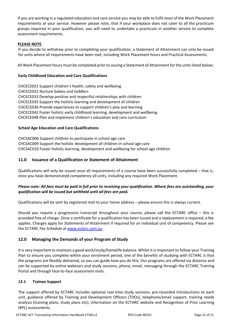If you are working in a regulated education and care service you *may* be able to fulfil *most* of the Work Placement requirements at your service. However please note, that if your workplace does not cater to all the practicum groups required in your qualification, you will need to undertake a practicum in another service to complete assessment requirements.

#### **PLEASE NOTE**:

If you decide to withdraw prior to completing your qualification, a Statement of Attainment can only be issued for units where all requirements have been met, including Work Placement hours and Practical Assessments.

All Work Placement hours must be completed prior to issuing a Statement of Attainment for the units listed below:

#### **Early Childhood Education and Care Qualifications**

CHCECE031 Support children's health, safety and wellbeing CHCECE032 Nurture babies and toddlers CHCECE033 Develop positive and respectful relationships with children CHCECE035 Support the holistic learning and development of children CHCECE036 Provide experiences to support children's play and learning CHCECE042 Foster holistic early childhood learning, development and wellbeing CHCECE048 Plan and implement children's education and care curriculum

#### **School Age Education and Care Qualifications**

CHCSAC006 Support children to participate in school age care CHCSAC009 Support the holistic development of children in school age care CHCSAC010 Foster holistic learning, development and wellbeing for school age children

#### **11.0 Issuance of a Qualification or Statement of Attainment**

Qualifications will only be issued once all requirements of a course have been successfully completed – that is, once you have demonstrated competency all units, including any required Work Placement.

#### *Please note: All fees must be paid in full prior to receiving your qualification. Where fees are outstanding, your qualification will be issued but withheld until all fees are paid.*

Qualifications will be sent by registered mail to your home address – please ensure this is always current.

Should you require a progression transcript throughout your course, please call the ECTARC office – this is provided free of charge. Once a certificate for a qualification has been issued and a replacement is required, a fee applies. Charges apply for Statements of Attainment if required for an individual unit of competency. Please see the ECTARC *Fee Schedule* at [www.ectarc.com.au](http://www.ectarc.com.au/)

#### **12.0 Managing the Demands of your Program of Study**

It is very important to maintain a good work/study/homelife balance. Whilst it is important to follow your Training Plan to ensure you complete within your enrolment period, one of the benefits of studying with ECTARC is that the programs are flexibly delivered, so you can guide how you do this. Our programs are offered via distance and can be supported by online webinars and study sessions, phone, email, messaging through the ECTARC Training Portal and through face-to-face assessment visits.

#### **12.1 Trainee Support**

The support offered by ECTARC includes optional real time study sessions, pre-recorded introductions to each unit, guidance offered by Training and Development Officers (TDOs), telephone/email support, training needs analysis (training plans, study plans etc), information on the ECTARC website and Recognition of Prior Learning (RPL) assessments.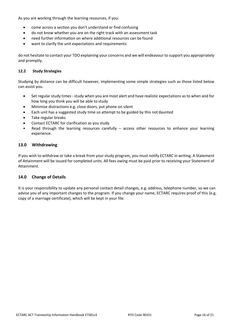As you are working through the learning resources, if you:

- come across a section you don't understand or find confusing
- do not know whether you are on the right track with an assessment task
- need further information on where additional resources can be found
- want to clarify the unit expectations and requirements

do not hesitate to contact your TDO explaining your concerns and we will endeavour to support you appropriately and promptly.

#### **12.2 Study Strategies**

Studying by distance can be difficult however, implementing some simple strategies such as those listed below can assist you.

- Set regular study times study when you are most alert and have realistic expectations as to when and for how long you think you will be able to study
- Minimise distractions e.g. close doors, put phone on silent
- Each unit has a suggested study time so attempt to be guided by this not daunted
- Take regular breaks
- Contact ECTARC for clarification as you study
- Read through the learning resources carefully  $-$  access other resources to enhance your learning experience.

#### **13.0 Withdrawing**

If you wish to withdraw or take a break from your study program, you must notify ECTARC in writing. A Statement of Attainment will be issued for completed units. All fees owing must be paid prior to receiving your Statement of Attainment.

#### **14.0 Change of Details**

It is your responsibility to update any personal contact detail changes, e.g. address, telephone number, so we can advise you of any important changes to the program. If you change your name, ECTARC requires proof of this (e.g. copy of a marriage certificate), which will be kept in your file.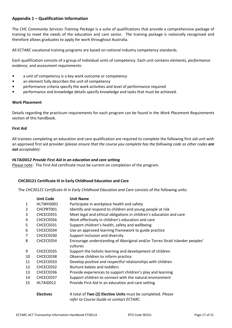#### **Appendix 1 – Qualification Information**

The *CHC Community Services Training Package* is a suite of qualifications that provide a comprehensive package of training to meet the needs of the education and care sector. The training package is nationally recognised and therefore allows graduates to apply for work throughout Australia.

All ECTARC vocational training programs are based on national industry competency standards.

Each qualification consists of a group of individual units of competency. Each unit contains *elements, performance evidence,* and *assessment requirements*:

- a unit of competency is a key work outcome or competency
- an element fully describes the unit of competency
- performance criteria specify the work activities and level of performance required
- performance and knowledge details specify knowledge and tasks that must be achieved.

#### **Work Placement**

Details regarding the practicum requirements for each program can be found in the *Work Placement Requirements* section of this handbook.

#### **First Aid**

All trainees completing an education and care qualification are required to complete the following first aid unit with an approved first aid provider *(please ensure that the course you complete has the following code as other codes are not acceptable):*

#### *HLTAID012 Provide First Aid in an education and care setting*

Please note: The First Aid certificate must be current on completion of the program.

#### **CHC30121 Certificate III in Early Childhood Education and Care**

The *CHC30121 Certificate III in Early Childhood Education and Care* consists of the following units:

|              | <b>Unit Code</b> | <b>Unit Name</b>                                                                                                                                                                                                                                                                                                                                                |
|--------------|------------------|-----------------------------------------------------------------------------------------------------------------------------------------------------------------------------------------------------------------------------------------------------------------------------------------------------------------------------------------------------------------|
| $\mathbf{1}$ | HLTWHS001        | Participate in workplace health and safety                                                                                                                                                                                                                                                                                                                      |
| 2            | CHCPRT001        | Identify and respond to children and young people at risk                                                                                                                                                                                                                                                                                                       |
| 3            | CHCECE055        | Meet legal and ethical obligations in children's education and care                                                                                                                                                                                                                                                                                             |
| 4            | CHCECE056        | Work effectively in children's education and care                                                                                                                                                                                                                                                                                                               |
| 5            | CHCECE031        | Support children's health, safety and wellbeing                                                                                                                                                                                                                                                                                                                 |
| 6            | CHCECE034        | Use an approved learning framework to guide practice                                                                                                                                                                                                                                                                                                            |
| 7            | CHCECE030        | Support inclusion and diversity                                                                                                                                                                                                                                                                                                                                 |
| 8            | CHCECE054        | Encourage understanding of Aboriginal and/or Torres Strait Islander peoples'                                                                                                                                                                                                                                                                                    |
|              |                  | cultures                                                                                                                                                                                                                                                                                                                                                        |
| 9            | CHCECE035        | Support the holistic learning and development of children                                                                                                                                                                                                                                                                                                       |
| 10           | CHCECE038        | Observe children to inform practice                                                                                                                                                                                                                                                                                                                             |
| 11           | CHCECE033        | Develop positive and respectful relationships with children                                                                                                                                                                                                                                                                                                     |
| 12           | CHCECE032        | Nurture babies and toddlers                                                                                                                                                                                                                                                                                                                                     |
| 13           | CHCECE036        | Provide experiences to support children's play and learning                                                                                                                                                                                                                                                                                                     |
| 14           | CHCECE037        | Support children to connect with the natural environment                                                                                                                                                                                                                                                                                                        |
| 15           | HLTAID012        | Provide First Aid in an education and care setting                                                                                                                                                                                                                                                                                                              |
|              | <b>Electives</b> | A total of Two (2) Elective Units must be completed. Please                                                                                                                                                                                                                                                                                                     |
|              |                  | $\mathcal{L}$ , $\mathcal{L}$ , $\mathcal{L}$ , $\mathcal{L}$ , $\mathcal{L}$ , $\mathcal{L}$ , $\mathcal{L}$ , $\mathcal{L}$ , $\mathcal{L}$ , $\mathcal{L}$ , $\mathcal{L}$ , $\mathcal{L}$ , $\mathcal{L}$ , $\mathcal{L}$ , $\mathcal{L}$ , $\mathcal{L}$ , $\mathcal{L}$ , $\mathcal{L}$ , $\mathcal{L}$ , $\mathcal{L}$ , $\mathcal{L}$ , $\mathcal{L}$ , |

*refer to Course Guide or contact ECTARC.*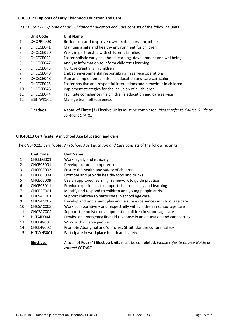#### **CHC50121 Diploma of Early Childhood Education and Care**

The *CHC50121 Diploma of Early Childhood Education and Care* consists of the following units:

|                | <b>Unit Code</b> | <b>Unit Name</b>                                                                                          |
|----------------|------------------|-----------------------------------------------------------------------------------------------------------|
| 1              | CHCPRP003        | Reflect on and improve own professional practice                                                          |
| $\overline{2}$ | CHCECE041        | Maintain a safe and healthy environment for children                                                      |
| 3              | CHCECE050        | Work in partnership with children's families                                                              |
| 4              | CHCECE042        | Foster holistic early childhood learning, development and wellbeing                                       |
| 5              | CHCECE047        | Analyse information to inform children's learning                                                         |
| 6              | CHCECE043        | Nurture creativity in children                                                                            |
| $\overline{7}$ | CHCECE049        | Embed environmental responsibility in service operations                                                  |
| 8              | CHCECE048        | Plan and implement children's education and care curriculum                                               |
| 9              | CHCECE045        | Foster positive and respectful interactions and behaviour in children                                     |
| 10             | CHCECE046        | Implement strategies for the inclusion of all children                                                    |
| 11             | CHCECE044        | Facilitate compliance in a children's education and care service                                          |
| 12             | BSBTWK502        | Manage team effectiveness                                                                                 |
|                | <b>Electives</b> | A total of Three (3) Elective Units must be completed. Please refer to Course Guide or<br>contact ECTARC. |

#### **CHC40113 Certificate IV in School Age Education and Care**

The *CHC40113 Certificate IV in School Age Education and Care* consists of the following units:

|                | <b>Unit Code</b> | <b>Unit Name</b>                                                                                         |
|----------------|------------------|----------------------------------------------------------------------------------------------------------|
| $\mathbf{1}$   | CHCLEG001        | Work legally and ethically                                                                               |
| $\overline{2}$ | CHCECE001        | Develop cultural competence                                                                              |
| 3              | CHCECE002        | Ensure the health and safety of children                                                                 |
| 4              | CHCECE004        | Promote and provide healthy food and drinks                                                              |
| 5              | CHCECE009        | Use an approved learning framework to guide practice                                                     |
| 6              | CHCECE011        | Provide experiences to support children's play and learning                                              |
| 7              | CHCPRT001        | Identify and respond to children and young people at risk                                                |
| 8              | CHCSAC001        | Support children to participate in school age care                                                       |
| 9              | CHCSAC002        | Develop and implement play and leisure experiences in school age care                                    |
| 10             | CHCSAC003        | Work collaboratively and respectfully with children in school age care                                   |
| 11             | CHCSAC004        | Support the holistic development of children in school age care                                          |
| 12             | HLTAID004        | Provide an emergency first aid response in an education and care setting                                 |
| 13             | CHCDIV001        | Work with diverse people                                                                                 |
| 14             | CHCDIV002        | Promote Aboriginal and/or Torres Strait Islander cultural safety                                         |
| 15             | HLTWHS001        | Participate in workplace health and safety                                                               |
|                | <b>Electives</b> | A total of Four (4) Elective Units must be completed. Please refer to Course Guide or<br>contact ECTARC. |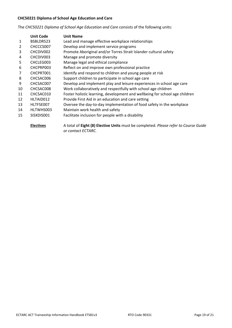### **CHC50221 Diploma of School Age Education and Care**

The *CHC50221 Diploma of School Age Education and Care* consists of the following units:

*or contact ECTARC.*

|              | <b>Unit Code</b> | <b>Unit Name</b>                                                                    |
|--------------|------------------|-------------------------------------------------------------------------------------|
| $\mathbf{1}$ | BSBLDR523        | Lead and manage effective workplace relationships                                   |
| 2            | CHCCCS007        | Develop and implement service programs                                              |
| 3            | CHCDIV002        | Promote Aboriginal and/or Torres Strait Islander cultural safety                    |
| 4            | CHCDIV003        | Manage and promote diversity                                                        |
| 5            | CHCLEG003        | Manage legal and ethical compliance                                                 |
| 6            | CHCPRP003        | Reflect on and improve own professional practice                                    |
| 7            | CHCPRT001        | Identify and respond to children and young people at risk                           |
| 8            | CHCSAC006        | Support children to participate in school age care                                  |
| 9            | CHCSAC007        | Develop and implement play and leisure experiences in school age care               |
| 10           | CHCSAC008        | Work collaboratively and respectfully with school age children                      |
| 11           | CHCSAC010        | Foster holistic learning, development and wellbeing for school age children         |
| 12           | HLTAID012        | Provide First Aid in an education and care setting                                  |
| 13           | HLTFSE007        | Oversee the day-to-day implementation of food safety in the workplace               |
| 14           | HLTWHS003        | Maintain work health and safety                                                     |
| 15           | SISXDIS001       | Facilitate inclusion for people with a disability                                   |
|              | <b>Electives</b> | A total of Eight (8) Elective Units must be completed. Please refer to Course Guide |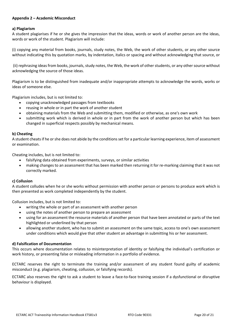#### **Appendix 2 – Academic Misconduct**

#### **a) Plagiarism**

A student plagiarises if he or she gives the impression that the ideas, words or work of another person are the ideas, words or work of the student. Plagiarism will include:

(i) copying any material from books, journals, study notes, the Web, the work of other students, or any other source without indicating this by quotation marks, by indentation, italics or spacing and without acknowledging that source, or

(ii) rephrasing ideas from books, journals, study notes, the Web, the work of other students, or any other source without acknowledging the source of those ideas.

Plagiarism is to be distinguished from inadequate and/or inappropriate attempts to acknowledge the words, works or ideas of someone else.

Plagiarism includes, but is not limited to:

- copying unacknowledged passages from textbooks
- reusing in whole or in part the work of another student
- obtaining materials from the Web and submitting them, modified or otherwise, as one's own work
- submitting work which is derived in whole or in part from the work of another person but which has been changed in superficial respects possibly by mechanical means.

#### **b) Cheating**

A student cheats if he or she does not abide by the conditions set for a particular learning experience, item of assessment or examination.

Cheating includes, but is not limited to:

- falsifying data obtained from experiments, surveys, or similar activities
- making changes to an assessment that has been marked then returning it for re-marking claiming that it was not correctly marked.

#### **c) Collusion**

A student colludes when he or she works without permission with another person or persons to produce work which is then presented as work completed independently by the student.

Collusion includes, but is not limited to:

- writing the whole or part of an assessment with another person
- using the notes of another person to prepare an assessment
- using for an assessment the resource materials of another person that have been annotated or parts of the text highlighted or underlined by that person
- allowing another student, who has to submit an assessment on the same topic, access to one's own assessment under conditions which would give that other student an advantage in submitting his or her assessment.

#### **d) Falsification of Documentation**

This occurs where documentation relates to misinterpretation of identity or falsifying the individual's certification or work history, or presenting false or misleading information in a portfolio of evidence.

ECTARC reserves the right to terminate the training and/or assessment of any student found guilty of academic misconduct (e.g. plagiarism, cheating, collusion, or falsifying records).

ECTARC also reserves the right to ask a student to leave a face-to-face training session if a dysfunctional or disruptive behaviour is displayed.